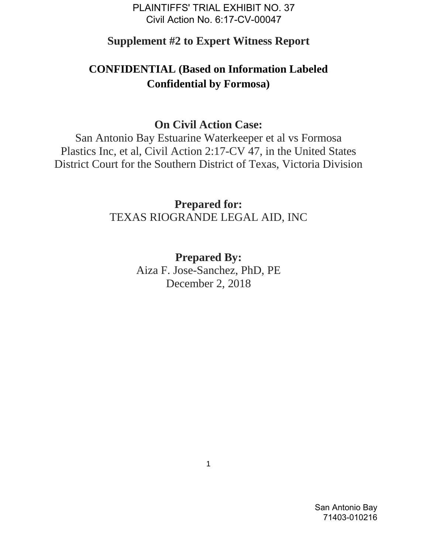PLAINTIFFS' TRIAL EXHIBIT NO. 37 Civil Action No. 6:17-CV-00047

### **Supplement #2 to Expert Witness Report**

# **CONFIDENTIAL (Based on Information Labeled Confidential by Formosa)**

## **On Civil Action Case:**

San Antonio Bay Estuarine Waterkeeper et al vs Formosa Plastics Inc, et al, Civil Action 2:17-CV 47, in the United States District Court for the Southern District of Texas, Victoria Division

> **Prepared for:** TEXAS RIOGRANDE LEGAL AID, INC

> > **Prepared By:** Aiza F. Jose-Sanchez, PhD, PE December 2, 2018

San Antonio Bay 71403-010216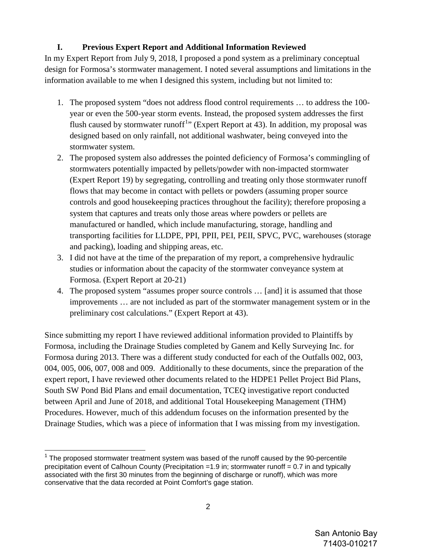### **I. Previous Expert Report and Additional Information Reviewed**

In my Expert Report from July 9, 2018, I proposed a pond system as a preliminary conceptual design for Formosa's stormwater management. I noted several assumptions and limitations in the information available to me when I designed this system, including but not limited to:

- 1. The proposed system "does not address flood control requirements … to address the 100 year or even the 500-year storm events. Instead, the proposed system addresses the first flush caused by stormwater runoff<sup>[1](#page-1-0)</sup>" (Expert Report at 43). In addition, my proposal was designed based on only rainfall, not additional washwater, being conveyed into the stormwater system.
- 2. The proposed system also addresses the pointed deficiency of Formosa's commingling of stormwaters potentially impacted by pellets/powder with non-impacted stormwater (Expert Report 19) by segregating, controlling and treating only those stormwater runoff flows that may become in contact with pellets or powders (assuming proper source controls and good housekeeping practices throughout the facility); therefore proposing a system that captures and treats only those areas where powders or pellets are manufactured or handled, which include manufacturing, storage, handling and transporting facilities for LLDPE, PPI, PPII, PEI, PEII, SPVC, PVC, warehouses (storage and packing), loading and shipping areas, etc.
- 3. I did not have at the time of the preparation of my report, a comprehensive hydraulic studies or information about the capacity of the stormwater conveyance system at Formosa. (Expert Report at 20-21)
- 4. The proposed system "assumes proper source controls … [and] it is assumed that those improvements … are not included as part of the stormwater management system or in the preliminary cost calculations." (Expert Report at 43).

Since submitting my report I have reviewed additional information provided to Plaintiffs by Formosa, including the Drainage Studies completed by Ganem and Kelly Surveying Inc. for Formosa during 2013. There was a different study conducted for each of the Outfalls 002, 003, 004, 005, 006, 007, 008 and 009. Additionally to these documents, since the preparation of the expert report, I have reviewed other documents related to the HDPE1 Pellet Project Bid Plans, South SW Pond Bid Plans and email documentation, TCEQ investigative report conducted between April and June of 2018, and additional Total Housekeeping Management (THM) Procedures. However, much of this addendum focuses on the information presented by the Drainage Studies, which was a piece of information that I was missing from my investigation.

 $\overline{a}$ 

<span id="page-1-0"></span> $1$  The proposed stormwater treatment system was based of the runoff caused by the 90-percentile precipitation event of Calhoun County (Precipitation =1.9 in; stormwater runoff = 0.7 in and typically associated with the first 30 minutes from the beginning of discharge or runoff), which was more conservative that the data recorded at Point Comfort's gage station.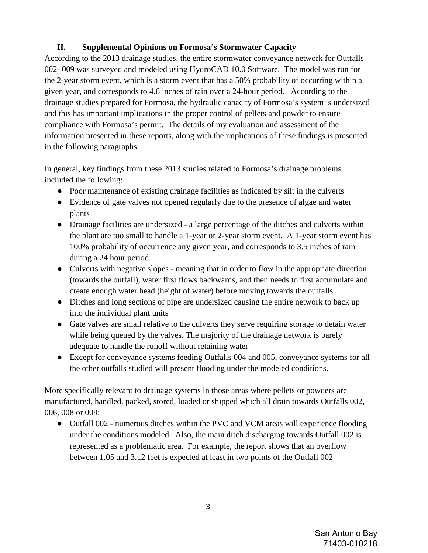#### **II. Supplemental Opinions on Formosa's Stormwater Capacity**

According to the 2013 drainage studies, the entire stormwater conveyance network for Outfalls 002- 009 was surveyed and modeled using HydroCAD 10.0 Software. The model was run for the 2-year storm event, which is a storm event that has a 50% probability of occurring within a given year, and corresponds to 4.6 inches of rain over a 24-hour period. According to the drainage studies prepared for Formosa, the hydraulic capacity of Formosa's system is undersized and this has important implications in the proper control of pellets and powder to ensure compliance with Formosa's permit. The details of my evaluation and assessment of the information presented in these reports, along with the implications of these findings is presented in the following paragraphs.

In general, key findings from these 2013 studies related to Formosa's drainage problems included the following:

- Poor maintenance of existing drainage facilities as indicated by silt in the culverts
- Evidence of gate valves not opened regularly due to the presence of algae and water plants
- Drainage facilities are undersized a large percentage of the ditches and culverts within the plant are too small to handle a 1-year or 2-year storm event. A 1-year storm event has 100% probability of occurrence any given year, and corresponds to 3.5 inches of rain during a 24 hour period.
- Culverts with negative slopes meaning that in order to flow in the appropriate direction (towards the outfall), water first flows backwards, and then needs to first accumulate and create enough water head (height of water) before moving towards the outfalls
- Ditches and long sections of pipe are undersized causing the entire network to back up into the individual plant units
- Gate valves are small relative to the culverts they serve requiring storage to detain water while being queued by the valves. The majority of the drainage network is barely adequate to handle the runoff without retaining water
- Except for conveyance systems feeding Outfalls 004 and 005, conveyance systems for all the other outfalls studied will present flooding under the modeled conditions.

More specifically relevant to drainage systems in those areas where pellets or powders are manufactured, handled, packed, stored, loaded or shipped which all drain towards Outfalls 002, 006, 008 or 009:

• Outfall 002 - numerous ditches within the PVC and VCM areas will experience flooding under the conditions modeled. Also, the main ditch discharging towards Outfall 002 is represented as a problematic area. For example, the report shows that an overflow between 1.05 and 3.12 feet is expected at least in two points of the Outfall 002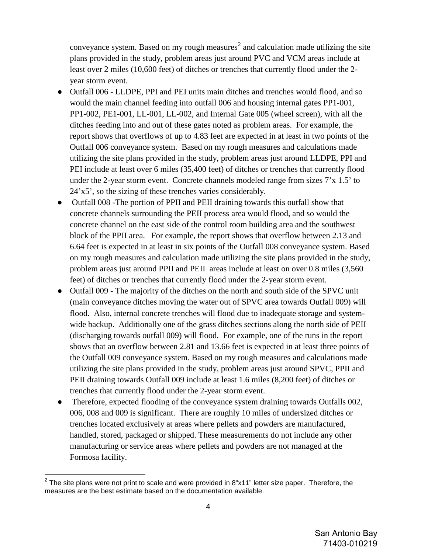conveyance system. Based on my rough measures<sup>[2](#page-3-0)</sup> and calculation made utilizing the site plans provided in the study, problem areas just around PVC and VCM areas include at least over 2 miles (10,600 feet) of ditches or trenches that currently flood under the 2 year storm event.

- Outfall 006 LLDPE, PPI and PEI units main ditches and trenches would flood, and so would the main channel feeding into outfall 006 and housing internal gates PP1-001, PP1-002, PE1-001, LL-001, LL-002, and Internal Gate 005 (wheel screen), with all the ditches feeding into and out of these gates noted as problem areas. For example, the report shows that overflows of up to 4.83 feet are expected in at least in two points of the Outfall 006 conveyance system. Based on my rough measures and calculations made utilizing the site plans provided in the study, problem areas just around LLDPE, PPI and PEI include at least over 6 miles (35,400 feet) of ditches or trenches that currently flood under the 2-year storm event. Concrete channels modeled range from sizes 7'x 1.5' to 24'x5', so the sizing of these trenches varies considerably.
- Outfall 008 -The portion of PPII and PEII draining towards this outfall show that concrete channels surrounding the PEII process area would flood, and so would the concrete channel on the east side of the control room building area and the southwest block of the PPII area. For example, the report shows that overflow between 2.13 and 6.64 feet is expected in at least in six points of the Outfall 008 conveyance system. Based on my rough measures and calculation made utilizing the site plans provided in the study, problem areas just around PPII and PEII areas include at least on over 0.8 miles (3,560 feet) of ditches or trenches that currently flood under the 2-year storm event.
- Outfall 009 The majority of the ditches on the north and south side of the SPVC unit (main conveyance ditches moving the water out of SPVC area towards Outfall 009) will flood. Also, internal concrete trenches will flood due to inadequate storage and systemwide backup. Additionally one of the grass ditches sections along the north side of PEII (discharging towards outfall 009) will flood. For example, one of the runs in the report shows that an overflow between 2.81 and 13.66 feet is expected in at least three points of the Outfall 009 conveyance system. Based on my rough measures and calculations made utilizing the site plans provided in the study, problem areas just around SPVC, PPII and PEII draining towards Outfall 009 include at least 1.6 miles (8,200 feet) of ditches or trenches that currently flood under the 2-year storm event.
- Therefore, expected flooding of the conveyance system draining towards Outfalls 002, 006, 008 and 009 is significant. There are roughly 10 miles of undersized ditches or trenches located exclusively at areas where pellets and powders are manufactured, handled, stored, packaged or shipped. These measurements do not include any other manufacturing or service areas where pellets and powders are not managed at the Formosa facility.

-

<span id="page-3-0"></span> $2$  The site plans were not print to scale and were provided in 8"x11" letter size paper. Therefore, the measures are the best estimate based on the documentation available.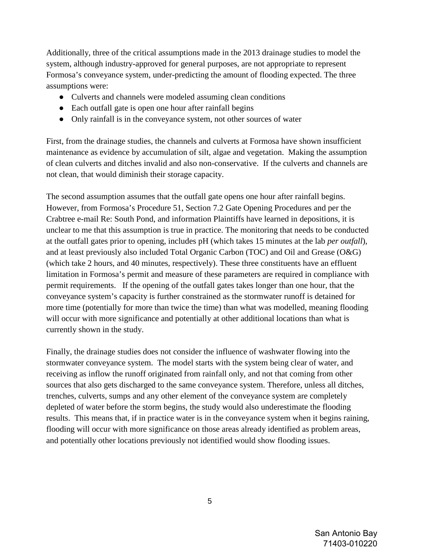Additionally, three of the critical assumptions made in the 2013 drainage studies to model the system, although industry-approved for general purposes, are not appropriate to represent Formosa's conveyance system, under-predicting the amount of flooding expected. The three assumptions were:

- Culverts and channels were modeled assuming clean conditions
- Each outfall gate is open one hour after rainfall begins
- Only rainfall is in the conveyance system, not other sources of water

First, from the drainage studies, the channels and culverts at Formosa have shown insufficient maintenance as evidence by accumulation of silt, algae and vegetation. Making the assumption of clean culverts and ditches invalid and also non-conservative. If the culverts and channels are not clean, that would diminish their storage capacity.

The second assumption assumes that the outfall gate opens one hour after rainfall begins. However, from Formosa's Procedure 51, Section 7.2 Gate Opening Procedures and per the Crabtree e-mail Re: South Pond, and information Plaintiffs have learned in depositions, it is unclear to me that this assumption is true in practice. The monitoring that needs to be conducted at the outfall gates prior to opening, includes pH (which takes 15 minutes at the lab *per outfall*), and at least previously also included Total Organic Carbon (TOC) and Oil and Grease (O&G) (which take 2 hours, and 40 minutes, respectively). These three constituents have an effluent limitation in Formosa's permit and measure of these parameters are required in compliance with permit requirements. If the opening of the outfall gates takes longer than one hour, that the conveyance system's capacity is further constrained as the stormwater runoff is detained for more time (potentially for more than twice the time) than what was modelled, meaning flooding will occur with more significance and potentially at other additional locations than what is currently shown in the study.

Finally, the drainage studies does not consider the influence of washwater flowing into the stormwater conveyance system. The model starts with the system being clear of water, and receiving as inflow the runoff originated from rainfall only, and not that coming from other sources that also gets discharged to the same conveyance system. Therefore, unless all ditches, trenches, culverts, sumps and any other element of the conveyance system are completely depleted of water before the storm begins, the study would also underestimate the flooding results. This means that, if in practice water is in the conveyance system when it begins raining, flooding will occur with more significance on those areas already identified as problem areas, and potentially other locations previously not identified would show flooding issues.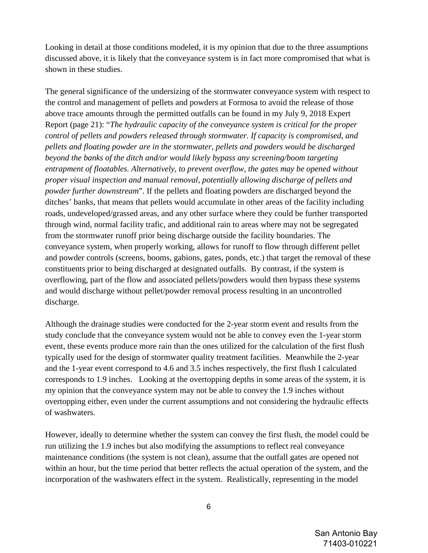Looking in detail at those conditions modeled, it is my opinion that due to the three assumptions discussed above, it is likely that the conveyance system is in fact more compromised that what is shown in these studies.

The general significance of the undersizing of the stormwater conveyance system with respect to the control and management of pellets and powders at Formosa to avoid the release of those above trace amounts through the permitted outfalls can be found in my July 9, 2018 Expert Report (page 21): "*The hydraulic capacity of the conveyance system is critical for the proper control of pellets and powders released through stormwater. If capacity is compromised, and pellets and floating powder are in the stormwater, pellets and powders would be discharged beyond the banks of the ditch and/or would likely bypass any screening/boom targeting entrapment of floatables. Alternatively, to prevent overflow, the gates may be opened without proper visual inspection and manual removal, potentially allowing discharge of pellets and powder further downstream*". If the pellets and floating powders are discharged beyond the ditches' banks, that means that pellets would accumulate in other areas of the facility including roads, undeveloped/grassed areas, and any other surface where they could be further transported through wind, normal facility trafic, and additional rain to areas where may not be segregated from the stormwater runoff prior being discharge outside the facility boundaries. The conveyance system, when properly working, allows for runoff to flow through different pellet and powder controls (screens, booms, gabions, gates, ponds, etc.) that target the removal of these constituents prior to being discharged at designated outfalls. By contrast, if the system is overflowing, part of the flow and associated pellets/powders would then bypass these systems and would discharge without pellet/powder removal process resulting in an uncontrolled discharge.

Although the drainage studies were conducted for the 2-year storm event and results from the study conclude that the conveyance system would not be able to convey even the 1-year storm event, these events produce more rain than the ones utilized for the calculation of the first flush typically used for the design of stormwater quality treatment facilities. Meanwhile the 2-year and the 1-year event correspond to 4.6 and 3.5 inches respectively, the first flush I calculated corresponds to 1.9 inches. Looking at the overtopping depths in some areas of the system, it is my opinion that the conveyance system may not be able to convey the 1.9 inches without overtopping either, even under the current assumptions and not considering the hydraulic effects of washwaters.

However, ideally to determine whether the system can convey the first flush, the model could be run utilizing the 1.9 inches but also modifying the assumptions to reflect real conveyance maintenance conditions (the system is not clean), assume that the outfall gates are opened not within an hour, but the time period that better reflects the actual operation of the system, and the incorporation of the washwaters effect in the system. Realistically, representing in the model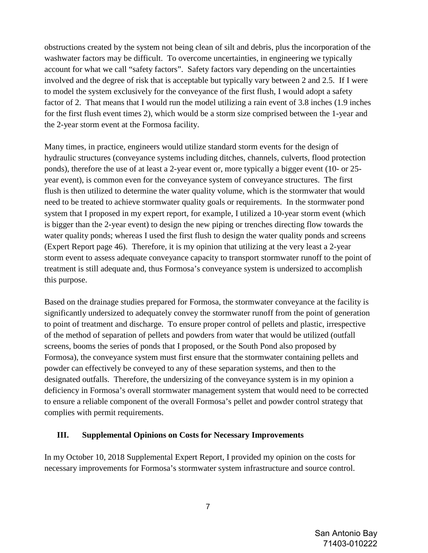obstructions created by the system not being clean of silt and debris, plus the incorporation of the washwater factors may be difficult. To overcome uncertainties, in engineering we typically account for what we call "safety factors". Safety factors vary depending on the uncertainties involved and the degree of risk that is acceptable but typically vary between 2 and 2.5. If I were to model the system exclusively for the conveyance of the first flush, I would adopt a safety factor of 2. That means that I would run the model utilizing a rain event of 3.8 inches (1.9 inches for the first flush event times 2), which would be a storm size comprised between the 1-year and the 2-year storm event at the Formosa facility.

Many times, in practice, engineers would utilize standard storm events for the design of hydraulic structures (conveyance systems including ditches, channels, culverts, flood protection ponds), therefore the use of at least a 2-year event or, more typically a bigger event (10- or 25 year event), is common even for the conveyance system of conveyance structures. The first flush is then utilized to determine the water quality volume, which is the stormwater that would need to be treated to achieve stormwater quality goals or requirements. In the stormwater pond system that I proposed in my expert report, for example, I utilized a 10-year storm event (which is bigger than the 2-year event) to design the new piping or trenches directing flow towards the water quality ponds; whereas I used the first flush to design the water quality ponds and screens (Expert Report page 46). Therefore, it is my opinion that utilizing at the very least a 2-year storm event to assess adequate conveyance capacity to transport stormwater runoff to the point of treatment is still adequate and, thus Formosa's conveyance system is undersized to accomplish this purpose.

Based on the drainage studies prepared for Formosa, the stormwater conveyance at the facility is significantly undersized to adequately convey the stormwater runoff from the point of generation to point of treatment and discharge. To ensure proper control of pellets and plastic, irrespective of the method of separation of pellets and powders from water that would be utilized (outfall screens, booms the series of ponds that I proposed, or the South Pond also proposed by Formosa), the conveyance system must first ensure that the stormwater containing pellets and powder can effectively be conveyed to any of these separation systems, and then to the designated outfalls. Therefore, the undersizing of the conveyance system is in my opinion a deficiency in Formosa's overall stormwater management system that would need to be corrected to ensure a reliable component of the overall Formosa's pellet and powder control strategy that complies with permit requirements.

#### **III. Supplemental Opinions on Costs for Necessary Improvements**

In my October 10, 2018 Supplemental Expert Report, I provided my opinion on the costs for necessary improvements for Formosa's stormwater system infrastructure and source control.